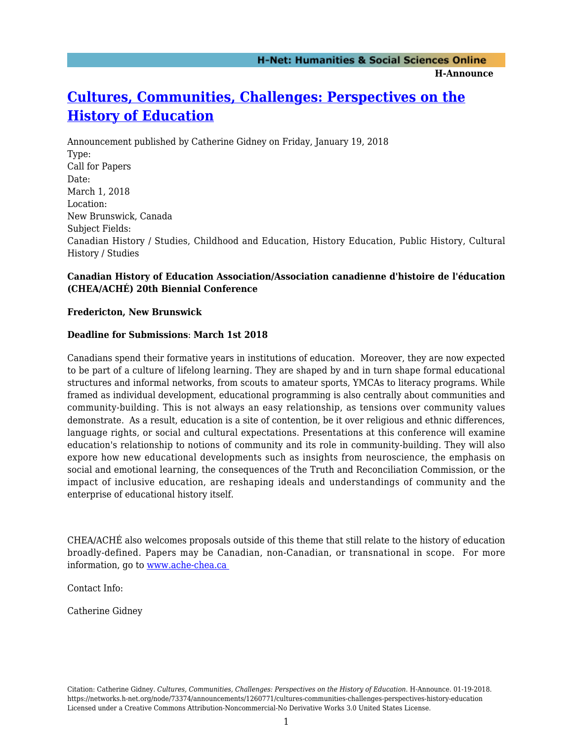# **[Cultures, Communities, Challenges: Perspectives on the](https://networks.h-net.org/node/73374/announcements/1260771/cultures-communities-challenges-perspectives-history-education) [History of Education](https://networks.h-net.org/node/73374/announcements/1260771/cultures-communities-challenges-perspectives-history-education)**

Announcement published by Catherine Gidney on Friday, January 19, 2018 Type: Call for Papers Date: March 1, 2018 Location: New Brunswick, Canada Subject Fields: Canadian History / Studies, Childhood and Education, History Education, Public History, Cultural History / Studies

### **Canadian History of Education Association/Association canadienne d'histoire de l'éducation (CHEA/ACHÉ) 20th Biennial Conference**

#### **Fredericton, New Brunswick**

#### **Deadline for Submissions**: **March 1st 2018**

Canadians spend their formative years in institutions of education. Moreover, they are now expected to be part of a culture of lifelong learning. They are shaped by and in turn shape formal educational structures and informal networks, from scouts to amateur sports, YMCAs to literacy programs. While framed as individual development, educational programming is also centrally about communities and community-building. This is not always an easy relationship, as tensions over community values demonstrate. As a result, education is a site of contention, be it over religious and ethnic differences, language rights, or social and cultural expectations. Presentations at this conference will examine education's relationship to notions of community and its role in community-building. They will also expore how new educational developments such as insights from neuroscience, the emphasis on social and emotional learning, the consequences of the Truth and Reconciliation Commission, or the impact of inclusive education, are reshaping ideals and understandings of community and the enterprise of educational history itself.

CHEA/ACHÉ also welcomes proposals outside of this theme that still relate to the history of education broadly-defined. Papers may be Canadian, non-Canadian, or transnational in scope. For more information, go to [www.ache-chea.ca](http://www.ache-chea.ca ) 

Contact Info:

Catherine Gidney

Citation: Catherine Gidney. *Cultures, Communities, Challenges: Perspectives on the History of Education*. H-Announce. 01-19-2018. https://networks.h-net.org/node/73374/announcements/1260771/cultures-communities-challenges-perspectives-history-education Licensed under a Creative Commons Attribution-Noncommercial-No Derivative Works 3.0 United States License.